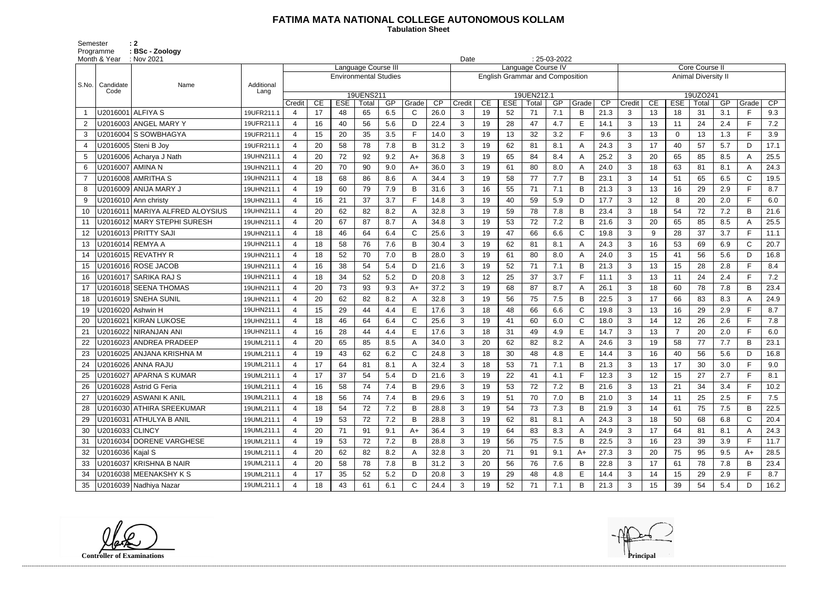## **FATIMA MATA NATIONAL COLLEGE AUTONOMOUS KOLLAM**

Semester : 2 Programme **: BSc - Zoology**  **Tabulation Sheet** 

| Month & Year           | $:$ Nov 2021                    |            | $: 25-03-2022$<br>Date |    |                              |                     |     |              |      |              |    |            |                                        |     |                |      |                            |    |             |       |     |              |      |
|------------------------|---------------------------------|------------|------------------------|----|------------------------------|---------------------|-----|--------------|------|--------------|----|------------|----------------------------------------|-----|----------------|------|----------------------------|----|-------------|-------|-----|--------------|------|
|                        |                                 |            |                        |    |                              | Language Course III |     |              |      |              |    |            | Language Course IV                     |     |                |      | <b>Core Course II</b>      |    |             |       |     |              |      |
| S.No.<br>Candidate     | Name                            | Additional |                        |    | <b>Environmental Studies</b> |                     |     |              |      |              |    |            | <b>English Grammar and Composition</b> |     |                |      | <b>Animal Diversity II</b> |    |             |       |     |              |      |
| Code                   |                                 | Lang       |                        |    |                              | 19UENS211           |     |              |      |              |    |            | 19UEN212.1                             |     |                |      | 19UZO241                   |    |             |       |     |              |      |
|                        |                                 |            | Credit                 | CE | <b>ESE</b>                   | Total               | GP  | Grade        | CP   | Credit       | CE | <b>ESE</b> | Total                                  | GP  | Grade          | CP   | Credit                     | CE | <b>ESE</b>  | Total | GP  | Grade        | CP   |
|                        | U2016001 ALFIYA S               | 19UFR211.1 | -4                     | 17 | 48                           | 65                  | 6.5 | C.           | 26.0 | 3            | 19 | 52         | 71                                     | 7.1 | B              | 21.3 | 3                          | 13 | 18          | 31    | 3.1 | F.           | 9.3  |
| 2                      | U2016003 ANGEL MARY Y           | 19UFR211.1 | $\overline{4}$         | 16 | 40                           | 56                  | 5.6 | D            | 22.4 | 3            | 19 | 28         | 47                                     | 4.7 | E              | 14.1 | 3                          | 13 | 11          | 24    | 2.4 | F.           | 7.2  |
| 3                      | U2016004 S SOWBHAGYA            | 19UFR211.1 | 4                      | 15 | 20                           | 35                  | 3.5 | F.           | 14.0 | 3            | 19 | 13         | 32                                     | 3.2 | F              | 9.6  | 3                          | 13 | $\mathbf 0$ | 13    | 1.3 | F            | 3.9  |
| 4                      | U2016005 Steni B Joy            | 19UFR211.1 | $\overline{4}$         | 20 | 58                           | 78                  | 7.8 | B            | 31.2 | 3            | 19 | 62         | 81                                     | 8.1 | $\mathsf{A}$   | 24.3 | 3                          | 17 | 40          | 57    | 5.7 | D            | 17.1 |
| 5                      | U2016006 Acharya J Nath         | 19UHN211.1 | $\overline{4}$         | 20 | 72                           | 92                  | 9.2 | A+           | 36.8 | 3            | 19 | 65         | 84                                     | 8.4 | $\overline{A}$ | 25.2 | 3                          | 20 | 65          | 85    | 8.5 | A            | 25.5 |
| 6                      | U2016007   AMINA N              | 19UHN211.1 |                        | 20 | 70                           | 90                  | 9.0 | A+           | 36.0 | 3            | 19 | 61         | 80                                     | 8.0 | $\mathsf{A}$   | 24.0 | 3                          | 18 | 63          | 81    | 8.1 | A            | 24.3 |
| $\overline{7}$         | U2016008 AMRITHA S              | 19UHN211.1 | $\overline{4}$         | 18 | 68                           | 86                  | 8.6 | A            | 34.4 | 3            | 19 | 58         | 77                                     | 7.7 | B              | 23.1 | 3                          | 14 | 51          | 65    | 6.5 | $\mathsf C$  | 19.5 |
| 8                      | U2016009 ANIJA MARY J           | 19UHN211.1 | $\overline{a}$         | 19 | 60                           | 79                  | 7.9 | B            | 31.6 | $\mathbf{3}$ | 16 | 55         | 71                                     | 7.1 | B              | 21.3 | 3                          | 13 | 16          | 29    | 2.9 | F.           | 8.7  |
| 9                      | U2016010 Ann christy            | 19UHN211.1 | $\boldsymbol{4}$       | 16 | 21                           | 37                  | 3.7 | F            | 14.8 | 3            | 19 | 40         | 59                                     | 5.9 | D              | 17.7 | 3                          | 12 | 8           | 20    | 2.0 | E.           | 6.0  |
| 10                     | U2016011 MARIYA ALFRED ALOYSIUS | 19UHN211.1 | $\overline{4}$         | 20 | 62                           | 82                  | 8.2 | A            | 32.8 | 3            | 19 | 59         | 78                                     | 7.8 | B              | 23.4 | 3                          | 18 | 54          | 72    | 7.2 | B            | 21.6 |
| 11                     | U2016012 MARY STEPHI SURESH     | 19UHN211.1 | $\boldsymbol{\Delta}$  | 20 | 67                           | 87                  | 8.7 | A            | 34.8 | 3            | 19 | 53         | 72                                     | 7.2 | B              | 21.6 | 3                          | 20 | 65          | 85    | 8.5 | A            | 25.5 |
| 12                     | U2016013 PRITTY SAJI            | 19UHN211.1 | $\overline{4}$         | 18 | 46                           | 64                  | 6.4 | $\mathsf{C}$ | 25.6 | 3            | 19 | 47         | 66                                     | 6.6 | $\mathsf{C}$   | 19.8 | 3                          | 9  | 28          | 37    | 3.7 | F.           | 11.1 |
| 13                     | U2016014 REMYA A                | 19UHN211.1 | $\boldsymbol{4}$       | 18 | 58                           | 76                  | 7.6 | B            | 30.4 | 3            | 19 | 62         | 81                                     | 8.1 | $\overline{A}$ | 24.3 | 3                          | 16 | 53          | 69    | 6.9 | $\mathsf{C}$ | 20.7 |
| 14                     | U2016015 REVATHY R              | 19UHN211.1 | $\overline{4}$         | 18 | 52                           | 70                  | 7.0 | B            | 28.0 | 3            | 19 | 61         | 80                                     | 8.0 | $\mathsf{A}$   | 24.0 | 3                          | 15 | 41          | 56    | 5.6 | D            | 16.8 |
| 15                     | U2016016 ROSE JACOB             | 19UHN211.1 | $\overline{4}$         | 16 | 38                           | 54                  | 5.4 | D            | 21.6 | 3            | 19 | 52         | 71                                     | 7.1 | B              | 21.3 | 3                          | 13 | 15          | 28    | 2.8 | F.           | 8.4  |
| 16                     | U2016017 SARIKA RAJ S           | 19UHN211.1 | $\boldsymbol{4}$       | 18 | 34                           | 52                  | 5.2 | D            | 20.8 | 3            | 12 | 25         | 37                                     | 3.7 | E              | 11.1 | $\mathbf{3}$               | 13 | 11          | 24    | 2.4 | F.           | 7.2  |
| 17                     | U2016018 SEENA THOMAS           | 19UHN211.1 | $\overline{4}$         | 20 | 73                           | 93                  | 9.3 | A+           | 37.2 | 3            | 19 | 68         | 87                                     | 8.7 | $\mathsf{A}$   | 26.1 | 3                          | 18 | 60          | 78    | 7.8 | B            | 23.4 |
| 18                     | U2016019 SNEHA SUNIL            | 19UHN211.1 | $\boldsymbol{\Delta}$  | 20 | 62                           | 82                  | 8.2 | A            | 32.8 | 3            | 19 | 56         | 75                                     | 7.5 | B              | 22.5 | 3                          | 17 | 66          | 83    | 8.3 | A            | 24.9 |
| 19                     | U2016020   Ashwin H             | 19UHN211.1 |                        | 15 | 29                           | 44                  | 4.4 | E            | 17.6 | 3            | 18 | 48         | 66                                     | 6.6 | $\mathsf{C}$   | 19.8 | 3                          | 13 | 16          | 29    | 2.9 | Е            | 8.7  |
| U2016021<br>20         | <b>KIRAN LUKOSE</b>             | 19UHN211.1 | $\overline{4}$         | 18 | 46                           | 64                  | 6.4 | $\mathsf{C}$ | 25.6 | 3            | 19 | 41         | 60                                     | 6.0 | $\mathsf{C}$   | 18.0 | 3                          | 14 | 12          | 26    | 2.6 | F.           | 7.8  |
| 21                     | U2016022 NIRANJAN ANI           | 19UHN211.1 | $\boldsymbol{4}$       | 16 | 28                           | 44                  | 4.4 | E            | 17.6 | 3            | 18 | 31         | 49                                     | 4.9 | Е              | 14.7 | 3                          | 13 | 7           | 20    | 2.0 | E.           | 6.0  |
| 22                     | U2016023 ANDREA PRADEEP         | 19UML211.1 | $\boldsymbol{\Delta}$  | 20 | 65                           | 85                  | 8.5 | A            | 34.0 | 3            | 20 | 62         | 82                                     | 8.2 | $\mathsf{A}$   | 24.6 | 3                          | 19 | 58          | 77    | 7.7 | B            | 23.1 |
| 23                     | U2016025 ANJANA KRISHNA M       | 19UML211.1 | $\boldsymbol{4}$       | 19 | 43                           | 62                  | 6.2 | C            | 24.8 | 3            | 18 | 30         | 48                                     | 4.8 | Е              | 14.4 | 3                          | 16 | 40          | 56    | 5.6 | D            | 16.8 |
| 24                     | U2016026 ANNA RAJU              | 19UML211.1 | $\boldsymbol{4}$       | 17 | 64                           | 81                  | 8.1 |              | 32.4 | 3            | 18 | 53         | 71                                     | 7.1 | $\mathsf B$    | 21.3 | 3                          | 13 | 17          | 30    | 3.0 | F            | 9.0  |
| 25                     | U2016027 APARNA S KUMAR         | 19UML211.1 | 4                      | 17 | 37                           | 54                  | 5.4 | D.           | 21.6 | 3            | 19 | 22         | 41                                     | 4.1 | $\mathsf F$    | 12.3 | 3                          | 12 | 15          | 27    | 2.7 | F.           | 8.1  |
| 26                     | U2016028 Astrid G Feria         | 19UML211.1 | 4                      | 16 | 58                           | 74                  | 7.4 | B            | 29.6 | 3            | 19 | 53         | 72                                     | 7.2 | B              | 21.6 | 3                          | 13 | 21          | 34    | 3.4 | F.           | 10.2 |
| 27                     | U2016029 ASWANI K ANIL          | 19UML211.1 | $\overline{4}$         | 18 | 56                           | 74                  | 7.4 | B            | 29.6 | 3            | 19 | 51         | 70                                     | 7.0 | B              | 21.0 | 3                          | 14 | 11          | 25    | 2.5 |              | 7.5  |
|                        | U2016030 ATHIRA SREEKUMAR       | 19UML211.1 | 4                      | 18 | 54                           | 72                  | 7.2 | B            | 28.8 | 3            | 19 | 54         | 73                                     | 7.3 | B              | 21.9 | $\mathbf{3}$               | 14 | 61          | 75    | 7.5 | B            | 22.5 |
| 29                     | U2016031 ATHULYA B ANIL         | 19UML211.1 | $\overline{4}$         | 19 | 53                           | 72                  | 7.2 | B            | 28.8 | 3            | 19 | 62         | 81                                     | 8.1 | A              | 24.3 | $\mathbf{3}$               | 18 | 50          | 68    | 6.8 | $\mathsf{C}$ | 20.4 |
| 30                     | U2016033 CLINCY                 | 19UML211.1 | $\overline{4}$         | 20 | 71                           | 91                  | 9.1 | $A+$         | 36.4 | 3            | 19 | 64         | 83                                     | 8.3 | $\mathsf{A}$   | 24.9 | 3                          | 17 | 64          | 81    | 8.1 | A            | 24.3 |
| 31                     | U2016034 DORENE VARGHESE        | 19UML211.1 |                        | 19 | 53                           | 72                  | 7.2 | B            | 28.8 | 3            | 19 | 56         | 75                                     | 7.5 | B              | 22.5 | 3                          | 16 | 23          | 39    | 3.9 |              | 11.7 |
| U2016036 Kajal S<br>32 |                                 | 19UML211.1 | $\overline{4}$         | 20 | 62                           | 82                  | 8.2 | A            | 32.8 | 3            | 20 | 71         | 91                                     | 9.1 | A+             | 27.3 | $\mathbf{3}$               | 20 | 75          | 95    | 9.5 | A+           | 28.5 |
| 33                     | U2016037 KRISHNA B NAIR         | 19UML211.1 | 4                      | 20 | 58                           | 78                  | 7.8 | B            | 31.2 | 3            | 20 | 56         | 76                                     | 7.6 | B              | 22.8 | $\mathbf{3}$               | 17 | 61          | 78    | 7.8 | B            | 23.4 |
| 34                     | U2016038 MEENAKSHY K S          | 19UML211.1 | $\overline{4}$         | 17 | 35                           | 52                  | 5.2 | D            | 20.8 | 3            | 19 | 29         | 48                                     | 4.8 | E              | 14.4 | $\mathbf{3}$               | 14 | 15          | 29    | 2.9 |              | 8.7  |
| 35                     | U2016039 Nadhiya Nazar          | 19UML211.1 | $\overline{4}$         | 18 | 43                           | 61                  | 6.1 | C            | 24.4 | 3            | 19 | 52         | 71                                     | 7.1 | B              | 21.3 | $\mathbf{3}$               | 15 | 39          | 54    | 5.4 | D            | 16.2 |

**Controller of Examinations Principal**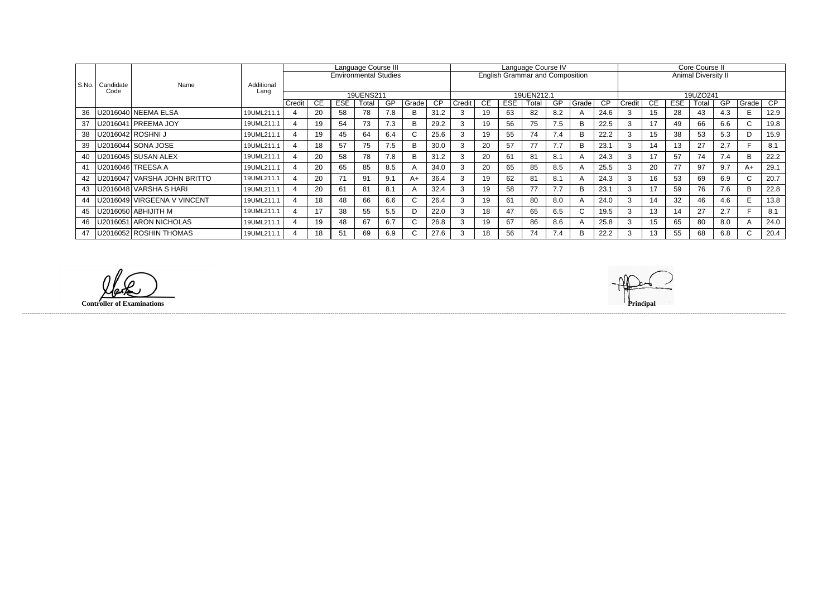|       |                   |                               |                    |                          |     |                              | Language Course III |           |       |                 | Language Course IV |           |            |                                        |           |              |      |                     | Core Course II |            |       |     |              |      |  |
|-------|-------------------|-------------------------------|--------------------|--------------------------|-----|------------------------------|---------------------|-----------|-------|-----------------|--------------------|-----------|------------|----------------------------------------|-----------|--------------|------|---------------------|----------------|------------|-------|-----|--------------|------|--|
|       |                   |                               |                    |                          |     | <b>Environmental Studies</b> |                     |           |       |                 |                    |           |            | <b>English Grammar and Composition</b> |           |              |      | Animal Diversity II |                |            |       |     |              |      |  |
| S.No. | Candidate<br>Code | Name                          | Additional<br>Lang |                          |     |                              |                     |           |       |                 |                    |           |            |                                        |           |              |      |                     |                |            |       |     |              |      |  |
|       |                   |                               |                    |                          |     |                              | 19UENS211           |           |       |                 |                    |           |            | 19UEN212.1                             |           |              |      |                     | 19UZO241       |            |       |     |              |      |  |
|       |                   |                               |                    | Credit                   | CE. | <b>ESE</b>                   | Total               | <b>GP</b> | Grade | $\overline{CP}$ | Credit             | <b>CE</b> | <b>ESE</b> | Total                                  | <b>GP</b> | Grade        | CP   | Credit              | CE             | <b>ESE</b> | Total | GP  | Grade        | CP   |  |
| 36    |                   | U2016040   NEEMA ELSA         | 19UML211.1         |                          | 20  | 58                           | 78                  | 7.8       |       | 31.2            |                    | 19        | 63         | 82                                     | 8.2       | A            | 24.6 |                     | 15             | 28         | 43    | 4.3 | E.           | 12.9 |  |
| 37    |                   | U2016041 PREEMA JOY           | 19UML211.1         | $\overline{4}$           | 19  | 54                           | 73                  | 7.3       | B.    | 29.2            |                    | 19        | 56         | 75                                     | 7.5       | <sub>B</sub> | 22.5 | 3                   | 17             | 49         | 66    | 6.6 | $\mathsf{C}$ | 19.8 |  |
| 38    |                   | U2016042   ROSHNI J           | 19UML211.1         | 4                        | 19  | 45                           | 64                  | 6.4       |       | 25.6            |                    | 19        | 55         | 74                                     | 7.4       | B            | 22.2 | $\sim$              | 15             | 38         | 53    | 5.3 | D            | 15.9 |  |
| 39    |                   | U2016044 SONA JOSE            | 19UML211.1         | $\overline{A}$           | 18  | 57                           | 75                  | 7.5       | R     | 30.0            |                    | 20        | 57         | 77                                     | 7.7       | B            | 23.1 | 3                   | 14             | 13         | 27    | 2.7 | Е            | 8.1  |  |
| 40    |                   | U2016045 SUSAN ALEX           | 19UML211.1         |                          | 20  | 58                           | 78                  | 7.8       |       | 31.2            |                    | 20        | 61         | 81                                     | -8.1      | A            | 24.3 |                     |                | 57         | 74    | 7.4 | B            | 22.2 |  |
| 41    |                   | U2016046 TREESA A             | 19UML211.1         | $\overline{a}$           | 20  | 65                           | 85                  | 8.5       |       | 34.0            |                    | 20        | 65         | 85                                     | 8.5       | A            | 25.5 | 3                   | 20             | 77         | 97    | 9.7 | A+           | 29.1 |  |
| 42    |                   | U2016047   VARSHA JOHN BRITTO | 19UML211.1         | $\boldsymbol{\varDelta}$ | 20  | 71                           | 91                  | 9.1       | $A+$  | 36.4            |                    | 19        | 62         | 81                                     | 8.1       | A            | 24.3 |                     | 16             | 53         | 69    | 6.9 | $\sim$<br>U. | 20.7 |  |
| 43    |                   | U2016048 VARSHA S HARI        | 19UML211.1         | $\boldsymbol{\Delta}$    | 20  | 61                           | -81                 | 8.1       |       | 32.4            |                    | 19        | 58         | 77                                     | 7.7       | B            | 23.1 | 3                   | 17             | 59         | 76    | 7.6 | B            | 22.8 |  |
| 44    |                   | U2016049   VIRGEENA V VINCENT | 19UML211.1         | $\overline{4}$           | 18  | 48                           | 66                  | 6.6       | U.    | 26.4            |                    | 19        | 61         | 80                                     | 8.0       | A            | 24.0 | 3                   | 14             | 32         | 46    | 4.6 | E            | 13.8 |  |
| 45    |                   | U2016050 ABHIJITH M           | 19UML211.1         | $\boldsymbol{4}$         | 17  | 38                           | 55                  | 5.5       |       | 22.0            |                    | 18        | 47         | 65                                     | 6.5       | C.           | 19.5 | 3                   | 13             | 14         | 27    | 2.7 |              | 8.1  |  |
| 46    |                   | U2016051 ARON NICHOLAS        | 19UML211.1         | $\overline{4}$           | 19  | 48                           | 67                  | 6.7       |       | 26.8            |                    | 19        | 67         | 86                                     | 8.6       | A            | 25.8 | 3                   | 15             | 65         | 80    | 8.0 |              | 24.0 |  |
| 47    |                   | U2016052 ROSHIN THOMAS        | 19UML211.1         |                          | 18  | 51                           | 69                  | 6.9       | ◡     | 27.6            |                    | 18        | 56         | 74                                     | 7.4       | B            | 22.2 |                     | 13             | 55         | 68    | 6.8 | ◡            | 20.4 |  |

**Controller of Examinations Principal**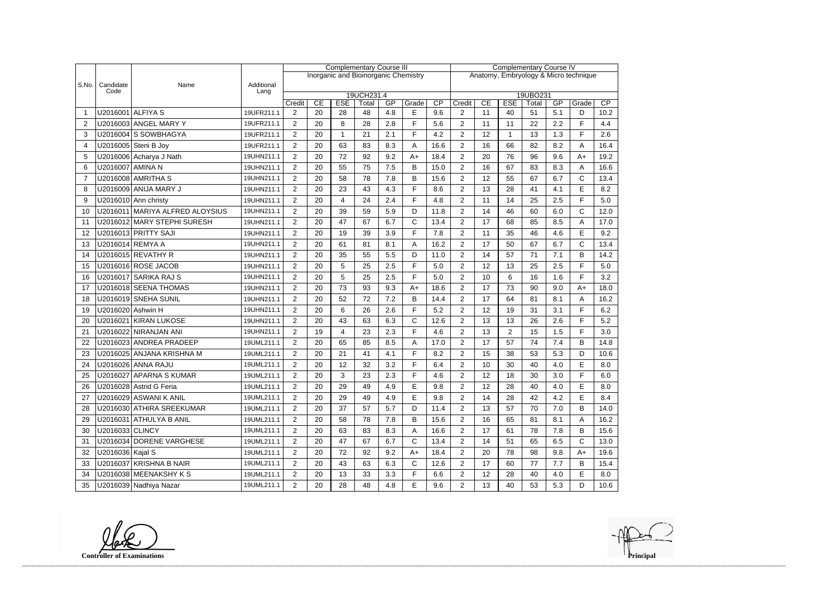|       |                   |                                 |                    | <b>Complementary Course III</b> |    |            |                                      |     |              |                                       | <b>Complementary Course IV</b>                                       |    |                |        |     |              |      |  |
|-------|-------------------|---------------------------------|--------------------|---------------------------------|----|------------|--------------------------------------|-----|--------------|---------------------------------------|----------------------------------------------------------------------|----|----------------|--------|-----|--------------|------|--|
|       |                   |                                 |                    |                                 |    |            | Inorganic and Bioinorganic Chemistry |     |              | Anatomy, Embryology & Micro technique |                                                                      |    |                |        |     |              |      |  |
| S.No. | Candidate<br>Code | Name                            | Additional<br>Lang |                                 |    |            |                                      |     |              |                                       |                                                                      |    |                |        |     |              |      |  |
|       |                   |                                 |                    | Credit                          | CE | <b>ESE</b> | 19UCH231.4<br>Total                  | GP  | Grade        |                                       | 19UBO231<br>CP<br>CE<br><b>ESE</b><br>GP<br>Credit<br>Total<br>Grade |    |                |        |     |              |      |  |
|       | U2016001 ALFIYA S |                                 | 19UFR211.1         | 2                               | 20 | 28         | 48                                   | 4.8 | E            | CP<br>9.6                             | $\overline{2}$                                                       | 11 | 40             | 51     | 5.1 | D            | 10.2 |  |
| 2     |                   | U2016003 ANGEL MARY Y           | 19UFR211.1         | $\overline{2}$                  | 20 | 8          | 28                                   | 2.8 | F            | 5.6                                   | 2                                                                    | 11 | 11             | 22     | 2.2 | F            | 4.4  |  |
| 3     |                   | U2016004 S SOWBHAGYA            | 19UFR211.1         | $\overline{2}$                  | 20 |            | 21                                   | 2.1 | F            | 4.2                                   | $\overline{2}$                                                       | 12 |                | 13     | 1.3 | F            | 2.6  |  |
| 4     |                   | U2016005 Steni B Joy            | 19UFR211.1         | $\overline{2}$                  | 20 | 63         | 83                                   | 8.3 | Α            | 16.6                                  | $\overline{2}$                                                       | 16 | 66             | 82     | 8.2 | A            | 16.4 |  |
| 5     |                   | U2016006 Acharya J Nath         | 19UHN211.1         | $\overline{2}$                  | 20 | 72         | 92                                   | 9.2 | $A+$         | 18.4                                  | $\overline{2}$                                                       | 20 | 76             | 96     | 9.6 | $A+$         | 19.2 |  |
| 6     | U2016007 AMINA N  |                                 | 19UHN211.1         | $\overline{2}$                  | 20 | 55         | 75                                   | 7.5 | B            | 15.0                                  | $\overline{2}$                                                       | 16 | 67             | 83     | 8.3 | A            | 16.6 |  |
| 7     |                   | U2016008 AMRITHA S              | 19UHN211.1         | $\overline{2}$                  | 20 | 58         | 78                                   | 7.8 | B            | 15.6                                  | $\overline{2}$                                                       | 12 | 55             | 67     | 6.7 | C            | 13.4 |  |
| 8     |                   | U2016009 ANIJA MARY J           | 19UHN211.1         | $\overline{2}$                  | 20 | 23         | 43                                   | 4.3 | F            | 8.6                                   | $\overline{2}$                                                       | 13 | 28             | 41     | 4.1 | E            | 8.2  |  |
| 9     |                   | U2016010 Ann christy            | 19UHN211.1         | $\overline{2}$                  | 20 | 4          | 24                                   | 2.4 | E            | 4.8                                   | $\overline{2}$                                                       | 11 | 14             | 25     | 2.5 | F            | 5.0  |  |
| 10    |                   | U2016011 MARIYA ALFRED ALOYSIUS | 19UHN211.1         | $\overline{2}$                  | 20 | 39         | 59                                   | 5.9 | D            | 11.8                                  | 2                                                                    | 14 | 46             | 60     | 6.0 | C            | 12.0 |  |
| 11    |                   | U2016012 MARY STEPHI SURESH     | 19UHN211.1         | $\overline{2}$                  | 20 | 47         | 67                                   | 6.7 | $\mathsf{C}$ | 13.4                                  | $\overline{2}$                                                       | 17 | 68             | 85     | 8.5 | Α            | 17.0 |  |
| 12    |                   | U2016013 PRITTY SAJI            | 19UHN211.1         | $\overline{2}$                  | 20 | 19         | 39                                   | 3.9 | F            | 7.8                                   | $\overline{2}$                                                       | 11 | 35             | 46     | 4.6 | E            | 9.2  |  |
| 13    |                   | U2016014 REMYA A                | 19UHN211.1         | $\overline{2}$                  | 20 | 61         | 81                                   | 8.1 | A            | 16.2                                  | $\overline{2}$                                                       | 17 | 50             | 67     | 6.7 | $\mathsf{C}$ | 13.4 |  |
|       |                   | U2016015 REVATHY R              |                    |                                 | 20 | 35         | 55                                   |     |              |                                       | $\overline{2}$                                                       | 14 | 57             | 71     | 7.1 | B            | 14.2 |  |
| 14    |                   |                                 | 19UHN211.1         | $\overline{2}$                  |    |            |                                      | 5.5 | D<br>F       | 11.0                                  |                                                                      |    |                |        |     | F            |      |  |
| 15    |                   | U2016016 ROSE JACOB             | 19UHN211.1         | $\overline{2}$                  | 20 | 5          | 25                                   | 2.5 | F            | 5.0                                   | $\overline{2}$                                                       | 12 | 13             | 25     | 2.5 | F            | 5.0  |  |
| 16    |                   | U2016017 SARIKA RAJ S           | 19UHN211.1         | $\overline{2}$                  | 20 | 5          | 25                                   | 2.5 |              | 5.0                                   | $\overline{2}$                                                       | 10 | 6              | 16     | 1.6 |              | 3.2  |  |
| 17    |                   | U2016018 SEENA THOMAS           | 19UHN211.1         | $\overline{2}$                  | 20 | 73         | 93                                   | 9.3 | $A+$         | 18.6                                  | $\overline{2}$                                                       | 17 | 73             | 90     | 9.0 | $A+$         | 18.0 |  |
| 18    |                   | U2016019 SNEHA SUNIL            | 19UHN211.1         | $\overline{2}$                  | 20 | 52         | 72                                   | 7.2 | B<br>F       | 14.4                                  | $\overline{2}$                                                       | 17 | 64             | 81     | 8.1 | Α<br>F       | 16.2 |  |
| 19    | U2016020 Ashwin H |                                 | 19UHN211.1         | $\overline{2}$                  | 20 | 6          | 26                                   | 2.6 |              | 5.2                                   | $\overline{2}$                                                       | 12 | 19             | 31     | 3.1 |              | 6.2  |  |
| 20    |                   | U2016021 KIRAN LUKOSE           | 19UHN211.1         | $\overline{2}$                  | 20 | 43         | 63                                   | 6.3 | C            | 12.6                                  | $\overline{2}$                                                       | 13 | 13             | 26     | 2.6 | F            | 5.2  |  |
| 21    |                   | U2016022 NIRANJAN ANI           | 19UHN211.1         | $\overline{2}$                  | 19 | 4          | 23                                   | 2.3 | F            | 4.6                                   | $\overline{2}$                                                       | 13 | $\overline{2}$ | 15     | 1.5 | F            | 3.0  |  |
| 22    |                   | U2016023 ANDREA PRADEEP         | 19UML211.1         | $\overline{2}$                  | 20 | 65         | 85                                   | 8.5 | Α            | 17.0                                  | $\overline{2}$                                                       | 17 | 57             | 74     | 7.4 | B            | 14.8 |  |
| 23    |                   | U2016025 ANJANA KRISHNA M       | 19UML211.1         | $\overline{2}$                  | 20 | 21         | 41                                   | 4.1 | F            | 8.2                                   | $\overline{2}$                                                       | 15 | 38             | 53     | 5.3 | D            | 10.6 |  |
| 24    |                   | U2016026 ANNA RAJU              | 19UML211.1         | $\overline{2}$                  | 20 | 12         | 32                                   | 3.2 | E            | 6.4                                   | $\overline{2}$                                                       | 10 | 30             | 40     | 4.0 | E            | 8.0  |  |
| 25    |                   | U2016027 APARNA S KUMAR         | 19UML211.1         | $\overline{\mathbf{c}}$         | 20 | 3          | 23                                   | 2.3 | F            | 4.6                                   | $\mathcal{D}$                                                        | 12 | 18             | $30\,$ | 3.0 | F            | 6.0  |  |
| 26    |                   | U2016028 Astrid G Feria         | 19UML211.1         | $\overline{2}$                  | 20 | 29         | 49                                   | 4.9 | E            | 9.8                                   | $\overline{2}$                                                       | 12 | 28             | 40     | 4.0 | E            | 8.0  |  |
| 27    |                   | U2016029 ASWANI K ANIL          | 19UML211.1         | $\overline{2}$                  | 20 | 29         | 49                                   | 4.9 | Е            | 9.8                                   | $\overline{2}$                                                       | 14 | 28             | 42     | 4.2 | E            | 8.4  |  |
| 28    |                   | U2016030 ATHIRA SREEKUMAR       | 19UML211.1         | $\overline{2}$                  | 20 | 37         | 57                                   | 5.7 | D            | 11.4                                  | $\overline{2}$                                                       | 13 | 57             | 70     | 7.0 | В            | 14.0 |  |
| 29    |                   | U2016031 ATHULYA B ANIL         | 19UML211.1         | $\overline{2}$                  | 20 | 58         | 78                                   | 7.8 | B            | 15.6                                  | $\overline{2}$                                                       | 16 | 65             | 81     | 8.1 | A            | 16.2 |  |
| 30    | U2016033 CLINCY   |                                 | 19UML211.1         | $\overline{2}$                  | 20 | 63         | 83                                   | 8.3 | A            | 16.6                                  | $\overline{2}$                                                       | 17 | 61             | 78     | 7.8 | B            | 15.6 |  |
| 31    |                   | U2016034 DORENE VARGHESE        | 19UML211.1         | $\overline{2}$                  | 20 | 47         | 67                                   | 6.7 | $\mathsf{C}$ | 13.4                                  | $\overline{2}$                                                       | 14 | 51             | 65     | 6.5 | C            | 13.0 |  |
| 32    | U2016036 Kajal S  |                                 | 19UML211.1         | $\overline{2}$                  | 20 | 72         | 92                                   | 9.2 | $A+$         | 18.4                                  | $\overline{2}$                                                       | 20 | 78             | 98     | 9.8 | $A+$         | 19.6 |  |
| 33    |                   | U2016037 KRISHNA B NAIR         | 19UML211.1         | $\overline{2}$                  | 20 | 43         | 63                                   | 6.3 | $\mathsf{C}$ | 12.6                                  | $\overline{2}$                                                       | 17 | 60             | 77     | 7.7 | В            | 15.4 |  |
| 34    |                   | U2016038 MEENAKSHY K S          | 19UML211.1         | $\overline{2}$                  | 20 | 13         | 33                                   | 3.3 | F            | 6.6                                   | $\overline{c}$                                                       | 12 | 28             | 40     | 4.0 | E            | 8.0  |  |
| 35    |                   | U2016039 Nadhiya Nazar          | 19UML211.1         | $\overline{2}$                  | 20 | 28         | 48                                   | 4.8 | Е            | 9.6                                   | $\overline{a}$                                                       | 13 | 40             | 53     | 5.3 | D            | 10.6 |  |

**Controller of Examinations**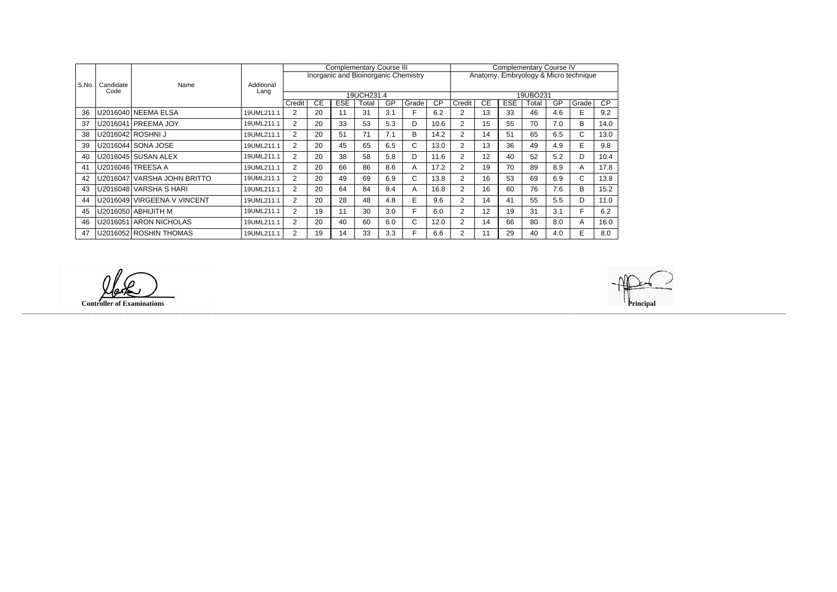|                |                   |                               |                    |                |           |            | <b>Complementary Course III</b> |     |                                             | <b>Complementary Course IV</b> |                                       |           |            |          |     |       |      |
|----------------|-------------------|-------------------------------|--------------------|----------------|-----------|------------|---------------------------------|-----|---------------------------------------------|--------------------------------|---------------------------------------|-----------|------------|----------|-----|-------|------|
|                |                   |                               |                    |                |           |            |                                 |     | <b>Inorganic and Bioinorganic Chemistry</b> |                                | Anatomy, Embryology & Micro technique |           |            |          |     |       |      |
| S.No.          | Candidate<br>Code | Name                          | Additional<br>Lang |                |           |            |                                 |     |                                             |                                |                                       |           |            |          |     |       |      |
|                |                   |                               |                    |                |           |            | 19UCH231.4                      |     |                                             |                                |                                       |           |            | 19UBO231 |     |       |      |
|                |                   |                               |                    | Credit         | <b>CE</b> | <b>ESE</b> | Total                           | GP  | Grade                                       | CP                             | Credit                                | <b>CE</b> | <b>ESE</b> | Total    | GP  | Grade | CP   |
| 36             |                   | U2016040 NEEMA ELSA           | 19UML211.1         | 2              | 20        | 11         | 31                              | 3.1 |                                             | 6.2                            | 2                                     | 13        | 33         | 46       | 4.6 | E     | 9.2  |
| 37             |                   | U2016041 PREEMA JOY           | 19UML211.1         | $\overline{2}$ | 20        | 33         | 53                              | 5.3 | D                                           | 10.6                           | 2                                     | 15        | 55         | 70       | 7.0 | B     | 14.0 |
| 38             |                   | U2016042 ROSHNI J             | 19UML211.1         | 2              | 20        | 51         | 71                              | 7.1 | B                                           | 14.2                           | 2                                     | 14        | 51         | 65       | 6.5 | C.    | 13.0 |
| 39             |                   | U2016044 SONA JOSE            | 19UML211.1         | $\overline{2}$ | 20        | 45         | 65                              | 6.5 | C.                                          | 13.0                           | 2                                     | 13        | 36         | 49       | 4.9 | E.    | 9.8  |
| 40             |                   | U2016045 SUSAN ALEX           | 19UML211.1         | $\overline{2}$ | 20        | 38         | 58                              | 5.8 | D                                           | 11.6                           | 2                                     | 12        | 40         | 52       | 5.2 | D     | 10.4 |
| 4 <sup>′</sup> | U2016046          | ITREESA A                     | 19UML211.1         | 2              | 20        | 66         | 86                              | 8.6 | A                                           | 17.2                           | 2                                     | 19        | 70         | 89       | 8.9 | A     | 17.8 |
| 42             |                   | U2016047   VARSHA JOHN BRITTO | 19UML211.1         | 2              | 20        | 49         | 69                              | 6.9 | C.                                          | 13.8                           | 2                                     | 16        | 53         | 69       | 6.9 | C.    | 13.8 |
| 43             |                   | U2016048 VARSHA S HARI        | 19UML211.1         | 2              | 20        | 64         | 84                              | 8.4 | A                                           | 16.8                           | 2                                     | 16        | 60         | 76       | 7.6 | B     | 15.2 |
| 44             | U2016049          | <b>VIRGEENA V VINCENT</b>     | 19UML211.1         | 2              | 20        | 28         | 48                              | 4.8 | E.                                          | 9.6                            | 2                                     | 14        | 41         | 55       | 5.5 | D     | 11.0 |
| 45             |                   | U2016050   ABHIJITH M         | 19UML211.1         | 2              | 19        | 11         | 30                              | 3.0 | F.                                          | 6.0                            | 2                                     | 12        | 19         | 31       | 3.1 | F.    | 6.2  |
| 46             |                   | U2016051 ARON NICHOLAS        | 19UML211.1         | $\overline{2}$ | 20        | 40         | 60                              | 6.0 | C.                                          | 12.0                           | 2                                     | 14        | 66         | 80       | 8.0 | A     | 16.0 |
| 47             |                   | U2016052 ROSHIN THOMAS        | 19UML211.1         | $\overline{2}$ | 19        | 14         | 33                              | 3.3 | F                                           | 6.6                            | 2                                     | 11        | 29         | 40       | 4.0 | E     | 8.0  |

**Controller of Examinations Principal**

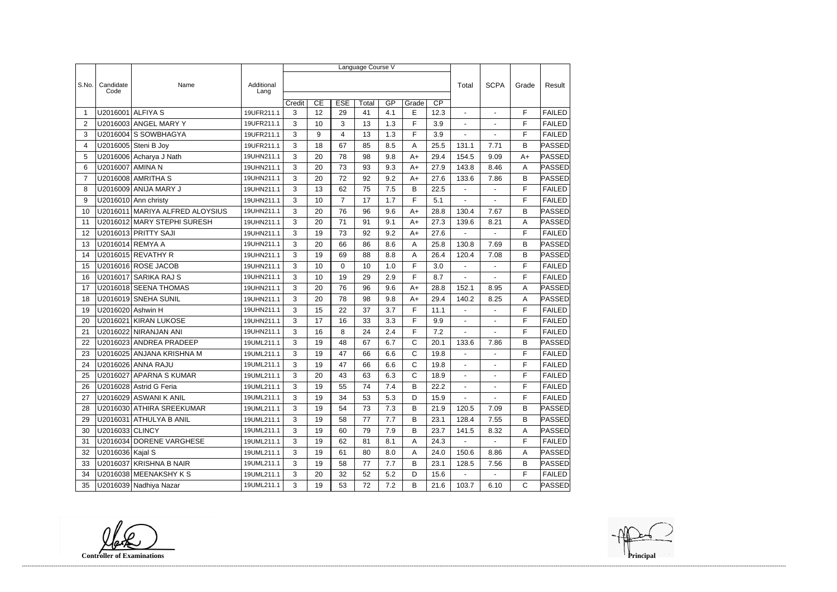|                |                   |                             |                    | Language Course V |    |                |       |     |              |                 |                          |                |             |               |  |
|----------------|-------------------|-----------------------------|--------------------|-------------------|----|----------------|-------|-----|--------------|-----------------|--------------------------|----------------|-------------|---------------|--|
|                |                   |                             |                    |                   |    |                |       |     |              |                 |                          |                |             |               |  |
| S.No.          | Candidate<br>Code | Name                        | Additional<br>Lang |                   |    |                |       |     |              |                 | Total                    | <b>SCPA</b>    | Grade       | Result        |  |
|                |                   |                             |                    | Credit            | CE | <b>ESE</b>     | Total | GP  | Grade        | $\overline{CP}$ |                          |                |             |               |  |
| -1             | U2016001          | <b>ALFIYA S</b>             | 19UFR211.1         | 3                 | 12 | 29             | 41    | 4.1 | E            | 12.3            |                          |                | F           | <b>FAILED</b> |  |
| $\overline{2}$ |                   | U2016003 ANGEL MARY Y       | 19UFR211.1         | 3                 | 10 | 3              | 13    | 1.3 | F            | 3.9             | $\blacksquare$           | $\blacksquare$ | F           | <b>FAILED</b> |  |
| 3              |                   | U2016004 S SOWBHAGYA        | 19UFR211.1         | 3                 | 9  | 4              | 13    | 1.3 | F            | 3.9             | ÷,                       |                | F           | <b>FAILED</b> |  |
| 4              |                   | U2016005 Steni B Joy        | 19UFR211.1         | 3                 | 18 | 67             | 85    | 8.5 | А            | 25.5            | 131.1                    | 7.71           | B           | PASSED        |  |
| 5              |                   | U2016006 Acharya J Nath     | 19UHN211.1         | 3                 | 20 | 78             | 98    | 9.8 | $A+$         | 29.4            | 154.5                    | 9.09           | $A+$        | PASSED        |  |
| 6              | U2016007 AMINA N  |                             | 19UHN211.1         | 3                 | 20 | 73             | 93    | 9.3 | $A+$         | 27.9            | 143.8                    | 8.46           | A           | PASSED        |  |
| $\overline{7}$ |                   | U2016008 AMRITHA S          | 19UHN211.1         | 3                 | 20 | 72             | 92    | 9.2 | A+           | 27.6            | 133.6                    | 7.86           | B           | <b>PASSED</b> |  |
| 8              |                   | U2016009 ANIJA MARY J       | 19UHN211.1         | 3                 | 13 | 62             | 75    | 7.5 | В            | 22.5            | $\overline{\phantom{a}}$ | $\overline{a}$ | F           | <b>FAILED</b> |  |
| 9              |                   | U2016010 Ann christy        | 19UHN211.1         | 3                 | 10 | $\overline{7}$ | 17    | 1.7 | F            | 5.1             |                          |                | F           | <b>FAILED</b> |  |
| 10             | U2016011          | MARIYA ALFRED ALOYSIUS      | 19UHN211.1         | 3                 | 20 | 76             | 96    | 9.6 | $A+$         | 28.8            | 130.4                    | 7.67           | B           | PASSED        |  |
| 11             |                   | U2016012 MARY STEPHI SURESH | 19UHN211.1         | 3                 | 20 | 71             | 91    | 9.1 | $A+$         | 27.3            | 139.6                    | 8.21           | A           | PASSED        |  |
| 12             |                   | U2016013 PRITTY SAJI        | 19UHN211.1         | 3                 | 19 | 73             | 92    | 9.2 | $A+$         | 27.6            |                          |                | F           | <b>FAILED</b> |  |
| 13             |                   | U2016014 REMYA A            | 19UHN211.1         | 3                 | 20 | 66             | 86    | 8.6 | Α            | 25.8            | 130.8                    | 7.69           | B           | PASSED        |  |
| 14             |                   | U2016015 REVATHY R          | 19UHN211.1         | 3                 | 19 | 69             | 88    | 8.8 | Α            | 26.4            | 120.4                    | 7.08           | B           | PASSED        |  |
| 15             |                   | U2016016 ROSE JACOB         | 19UHN211.1         | 3                 | 10 | $\mathbf 0$    | 10    | 1.0 | F            | 3.0             | $\blacksquare$           | $\blacksquare$ | F           | <b>FAILED</b> |  |
| 16             | U2016017          | <b>SARIKA RAJ S</b>         | 19UHN211.1         | 3                 | 10 | 19             | 29    | 2.9 | F            | 8.7             |                          |                | F           | <b>FAILED</b> |  |
| 17             |                   | U2016018 SEENA THOMAS       | 19UHN211.1         | 3                 | 20 | 76             | 96    | 9.6 | $A+$         | 28.8            | 152.1                    | 8.95           | A           | <b>PASSED</b> |  |
| 18             |                   | U2016019 SNEHA SUNIL        | 19UHN211.1         | 3                 | 20 | 78             | 98    | 9.8 | $A+$         | 29.4            | 140.2                    | 8.25           | A           | <b>PASSED</b> |  |
| 19             | U2016020 Ashwin H |                             | 19UHN211.1         | 3                 | 15 | 22             | 37    | 3.7 | F            | 11.1            |                          |                | F           | <b>FAILED</b> |  |
| 20             | U2016021          | <b>KIRAN LUKOSE</b>         | 19UHN211.1         | 3                 | 17 | 16             | 33    | 3.3 | F            | 9.9             | $\blacksquare$           | $\overline{a}$ | F           | <b>FAILED</b> |  |
| 21             |                   | U2016022 NIRANJAN ANI       | 19UHN211.1         | 3                 | 16 | 8              | 24    | 2.4 | F            | 7.2             |                          |                | F           | <b>FAILED</b> |  |
| 22             |                   | U2016023 ANDREA PRADEEP     | 19UML211.1         | 3                 | 19 | 48             | 67    | 6.7 | C            | 20.1            | 133.6                    | 7.86           | B           | <b>PASSED</b> |  |
| 23             |                   | U2016025 ANJANA KRISHNA M   | 19UML211.1         | 3                 | 19 | 47             | 66    | 6.6 | C            | 19.8            | $\blacksquare$           | ÷,             | F           | <b>FAILED</b> |  |
| 24             |                   | U2016026 ANNA RAJU          | 19UML211.1         | 3                 | 19 | 47             | 66    | 6.6 | $\mathsf{C}$ | 19.8            |                          |                | F           | <b>FAILED</b> |  |
| 25             |                   | U2016027 APARNA S KUMAR     | 19UML211.1         | 3                 | 20 | 43             | 63    | 6.3 | C            | 18.9            |                          |                | $\mathsf F$ | <b>FAILED</b> |  |
| 26             |                   | U2016028 Astrid G Feria     | 19UML211.1         | 3                 | 19 | 55             | 74    | 7.4 | B            | 22.2            | $\sim$                   |                | F           | <b>FAILED</b> |  |
| 27             |                   | U2016029 ASWANI K ANIL      | 19UML211.1         | 3                 | 19 | 34             | 53    | 5.3 | D            | 15.9            | $\sim$                   | $\blacksquare$ | F           | <b>FAILED</b> |  |
| 28             |                   | U2016030 ATHIRA SREEKUMAR   | 19UML211.1         | 3                 | 19 | 54             | 73    | 7.3 | B            | 21.9            | 120.5                    | 7.09           | B           | PASSED        |  |
| 29             |                   | U2016031 ATHULYA B ANIL     | 19UML211.1         | 3                 | 19 | 58             | 77    | 7.7 | В            | 23.1            | 128.4                    | 7.55           | B           | <b>PASSED</b> |  |
| 30             | U2016033 CLINCY   |                             | 19UML211.1         | 3                 | 19 | 60             | 79    | 7.9 | B            | 23.7            | 141.5                    | 8.32           | A           | PASSED        |  |
| 31             |                   | U2016034 DORENE VARGHESE    | 19UML211.1         | 3                 | 19 | 62             | 81    | 8.1 | A            | 24.3            |                          |                | F           | <b>FAILED</b> |  |
| 32             | U2016036 Kajal S  |                             | 19UML211.1         | 3                 | 19 | 61             | 80    | 8.0 | A            | 24.0            | 150.6                    | 8.86           | A           | PASSED        |  |
| 33             |                   | U2016037 KRISHNA B NAIR     | 19UML211.1         | 3                 | 19 | 58             | 77    | 7.7 | B            | 23.1            | 128.5                    | 7.56           | B           | <b>PASSED</b> |  |
| 34             |                   | U2016038 MEENAKSHY K S      | 19UML211.1         | 3                 | 20 | 32             | 52    | 5.2 | D            | 15.6            |                          |                | F           | <b>FAILED</b> |  |
| 35             |                   | U2016039 Nadhiya Nazar      | 19UML211.1         | 3                 | 19 | 53             | 72    | 7.2 | B            | 21.6            | 103.7                    | 6.10           | $\mathsf C$ | <b>PASSED</b> |  |

**Controller of Examinations**